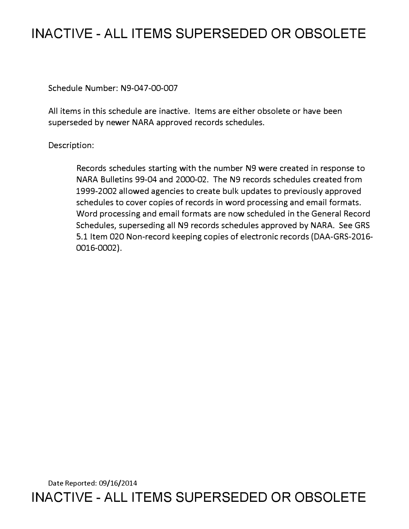# **INACTIVE - ALL ITEMS SUPERSEDED OR OBSOLETE**

Schedule Number: N9-047-00-007

All items in this schedule are inactive. Items are either obsolete or have been superseded by newer NARA approved records schedules.

## Description:

Records schedules starting with the number N9 were created in response to NARA Bulletins 99-04 and 2000-02. The N9 records schedules created from 1999-2002 allowed agencies to create bulk updates to previously approved schedules to cover copies of records in word processing and email formats. Word processing and email formats are now scheduled in the General Record Schedules, superseding all N9 records schedules approved by NARA. See GRS 5.1 Item 020 Non-record keeping copies of electronic records (DAA-GRS-2016- 0016-0002).

Date Reported: 09/16/2014 **INACTIVE - ALL ITEMS SUPERSEDED OR OBSOLETE**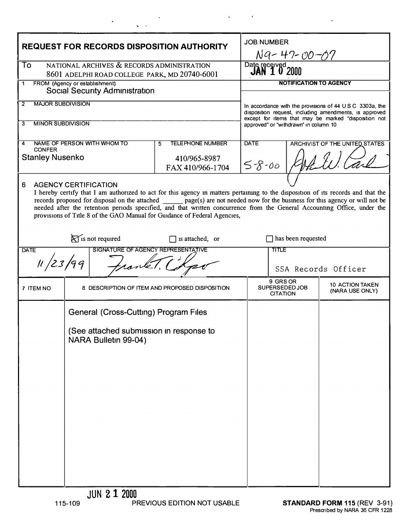| <b>REQUEST FOR RECORDS DISPOSITION AUTHORITY</b>                                                                                                                                                                                                                                                                                                                               |                                                                 |                                                                  | <b>JOB NUMBER</b><br>N9-47-00-07                                                                                                                                                       |                                               |                                           |
|--------------------------------------------------------------------------------------------------------------------------------------------------------------------------------------------------------------------------------------------------------------------------------------------------------------------------------------------------------------------------------|-----------------------------------------------------------------|------------------------------------------------------------------|----------------------------------------------------------------------------------------------------------------------------------------------------------------------------------------|-----------------------------------------------|-------------------------------------------|
| NATIONAL ARCHIVES & RECORDS ADMINISTRATION<br>To<br>8601 ADELPHI ROAD COLLEGE PARK, MD 20740-6001                                                                                                                                                                                                                                                                              |                                                                 |                                                                  | Date received<br><b>JAN 1 0 2000</b>                                                                                                                                                   |                                               |                                           |
| FROM (Agency or establishment)<br>1<br><b>Social Security Administration</b>                                                                                                                                                                                                                                                                                                   |                                                                 |                                                                  | <b>NOTIFICATION TO AGENCY</b>                                                                                                                                                          |                                               |                                           |
| <b>MAJOR SUBDIVISION</b><br>$\overline{2}$                                                                                                                                                                                                                                                                                                                                     |                                                                 |                                                                  | In accordance with the provisions of $44 \cup S \subset 3303a$ , the<br>disposition request, including amendments, is approved<br>except for items that may be marked "disposition not |                                               |                                           |
| <b>MINOR SUBDIVISION</b><br>3                                                                                                                                                                                                                                                                                                                                                  |                                                                 |                                                                  | approved" or "withdrawn" in column 10                                                                                                                                                  |                                               |                                           |
| NAME OF PERSON WITH WHOM TO<br>4<br><b>CONFER</b><br><b>Stanley Nusenko</b>                                                                                                                                                                                                                                                                                                    |                                                                 | <b>TELEPHONE NUMBER</b><br>5<br>410/965-8987<br>FAX 410/966-1704 | <b>DATE</b><br><b>ARCHIVIST OF THE UNITED STATES</b><br>$5 - 8 - 00$                                                                                                                   |                                               |                                           |
| 6<br><b>AGENCY CERTIFICATION</b><br>I hereby certify that I am authorized to act for this agency in matters pertaining to the disposition of its records and that the<br>needed after the retention periods specified, and that written concurrence from the General Accounting Office, under the<br>provisions of Title 8 of the GAO Manual for Guidance of Federal Agencies, |                                                                 |                                                                  |                                                                                                                                                                                        |                                               |                                           |
| $\bigtimes$ is not required<br>$\Box$ is attached, or                                                                                                                                                                                                                                                                                                                          |                                                                 |                                                                  | has been requested                                                                                                                                                                     |                                               |                                           |
| SIGNATURE OF AGENCY REPRESENTATIVE<br><b>DATE</b><br>11/23/99                                                                                                                                                                                                                                                                                                                  |                                                                 |                                                                  | <b>TITLE</b><br>SSA Records Officer                                                                                                                                                    |                                               |                                           |
| 7 ITEM NO                                                                                                                                                                                                                                                                                                                                                                      |                                                                 | 8 DESCRIPTION OF ITEM AND PROPOSED DISPOSITION                   |                                                                                                                                                                                        | 9 GRS OR<br>SUPERSEDED JOB<br><b>CITATION</b> | <b>10 ACTION TAKEN</b><br>(NARA USE ONLY) |
|                                                                                                                                                                                                                                                                                                                                                                                | General (Cross-Cutting) Program Files                           |                                                                  |                                                                                                                                                                                        |                                               |                                           |
|                                                                                                                                                                                                                                                                                                                                                                                | (See attached submission in response to<br>NARA Bulletin 99-04) |                                                                  |                                                                                                                                                                                        |                                               |                                           |
|                                                                                                                                                                                                                                                                                                                                                                                |                                                                 |                                                                  |                                                                                                                                                                                        |                                               |                                           |
|                                                                                                                                                                                                                                                                                                                                                                                |                                                                 |                                                                  |                                                                                                                                                                                        |                                               |                                           |
|                                                                                                                                                                                                                                                                                                                                                                                |                                                                 |                                                                  |                                                                                                                                                                                        |                                               |                                           |
|                                                                                                                                                                                                                                                                                                                                                                                |                                                                 |                                                                  |                                                                                                                                                                                        |                                               |                                           |
|                                                                                                                                                                                                                                                                                                                                                                                |                                                                 |                                                                  |                                                                                                                                                                                        |                                               |                                           |

 $\mathcal{A}=\mathcal{A}=\mathcal{A}$ 

 $\sim$   $\sim$ 

 $\label{eq:2} \frac{1}{\sqrt{2}}\left(\frac{1}{\sqrt{2}}\right)^{2} \left(\frac{1}{\sqrt{2}}\right)^{2} \left(\frac{1}{\sqrt{2}}\right)^{2} \left(\frac{1}{\sqrt{2}}\right)^{2} \left(\frac{1}{\sqrt{2}}\right)^{2} \left(\frac{1}{\sqrt{2}}\right)^{2} \left(\frac{1}{\sqrt{2}}\right)^{2} \left(\frac{1}{\sqrt{2}}\right)^{2} \left(\frac{1}{\sqrt{2}}\right)^{2} \left(\frac{1}{\sqrt{2}}\right)^{2} \left(\frac{1}{\sqrt{2}}\right)^{2} \left(\frac{$